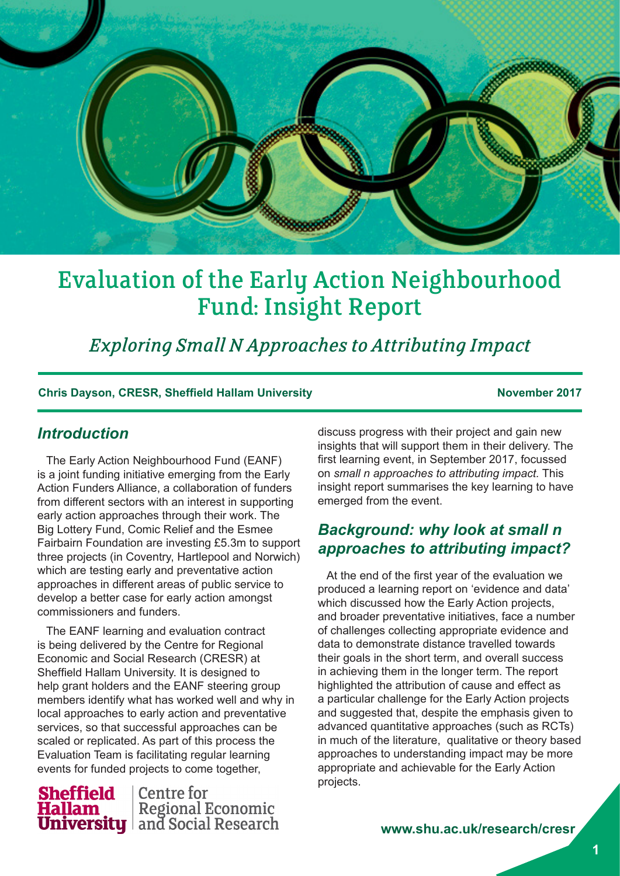

# Evaluation of the Early Action Neighbourhood Fund: Insight Report

*Exploring Small N Approaches to Attributing Impact*

#### **Chris Dayson, CRESR, Sheffield Hallam University November 2017**

## *Introduction*

The Early Action Neighbourhood Fund (EANF) is a joint funding initiative emerging from the Early Action Funders Alliance, a collaboration of funders from different sectors with an interest in supporting early action approaches through their work. The Big Lottery Fund, Comic Relief and the Esmee Fairbairn Foundation are investing £5.3m to support three projects (in Coventry, Hartlepool and Norwich) which are testing early and preventative action approaches in different areas of public service to develop a better case for early action amongst commissioners and funders.

The EANF learning and evaluation contract is being delivered by the Centre for Regional Economic and Social Research (CRESR) at Sheffield Hallam University. It is designed to help grant holders and the EANF steering group members identify what has worked well and why in local approaches to early action and preventative services, so that successful approaches can be scaled or replicated. As part of this process the Evaluation Team is facilitating regular learning events for funded projects to come together,



discuss progress with their project and gain new insights that will support them in their delivery. The first learning event, in September 2017, focussed on *small n approaches to attributing impact.* This insight report summarises the key learning to have emerged from the event.

# *Background: why look at small n approaches to attributing impact?*

At the end of the first year of the evaluation we produced a learning report on 'evidence and data' which discussed how the Early Action projects, and broader preventative initiatives, face a number of challenges collecting appropriate evidence and data to demonstrate distance travelled towards their goals in the short term, and overall success in achieving them in the longer term. The report highlighted the attribution of cause and effect as a particular challenge for the Early Action projects and suggested that, despite the emphasis given to advanced quantitative approaches (such as RCTs) in much of the literature, qualitative or theory based approaches to understanding impact may be more appropriate and achievable for the Early Action projects.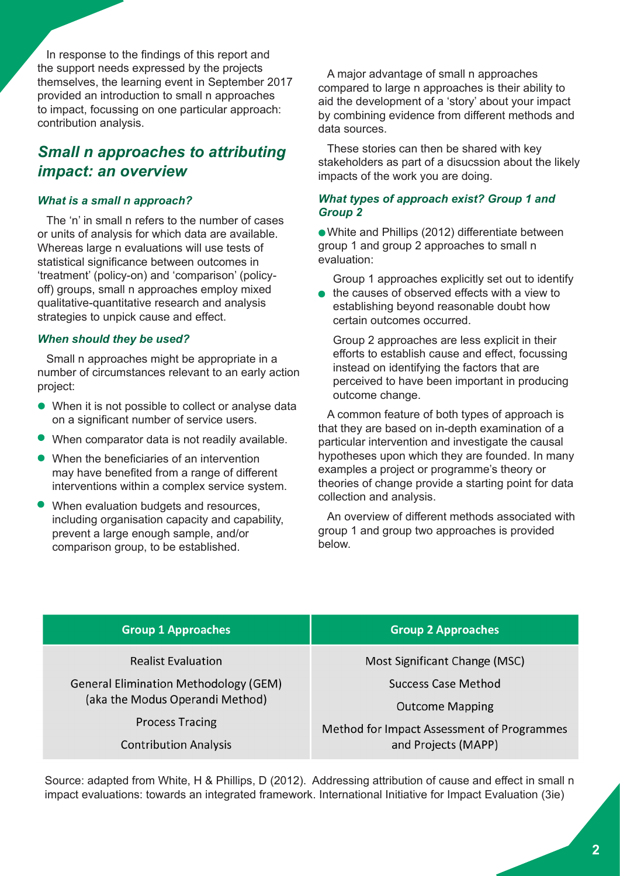In response to the findings of this report and the support needs expressed by the projects themselves, the learning event in September 2017 provided an introduction to small n approaches to impact, focussing on one particular approach: contribution analysis.

# *Small n approaches to attributing impact: an overview*

#### *What is a small n approach?*

The 'n' in small n refers to the number of cases or units of analysis for which data are available. Whereas large n evaluations will use tests of statistical significance between outcomes in 'treatment' (policy-on) and 'comparison' (policyoff) groups, small n approaches employ mixed qualitative-quantitative research and analysis strategies to unpick cause and effect.

#### *When should they be used?*

Small n approaches might be appropriate in a number of circumstances relevant to an early action project:

- When it is not possible to collect or analyse data on a significant number of service users.
- When comparator data is not readily available.
- When the beneficiaries of an intervention may have benefited from a range of different interventions within a complex service system.
- When evaluation budgets and resources, including organisation capacity and capability, prevent a large enough sample, and/or comparison group, to be established.

A major advantage of small n approaches compared to large n approaches is their ability to aid the development of a 'story' about your impact by combining evidence from different methods and data sources.

These stories can then be shared with key stakeholders as part of a disucssion about the likely impacts of the work you are doing.

### *What types of approach exist? Group 1 and Group 2*

White and Phillips (2012) differentiate between group 1 and group 2 approaches to small n evaluation:

Group 1 approaches explicitly set out to identify

the causes of observed effects with a view to establishing beyond reasonable doubt how certain outcomes occurred.

Group 2 approaches are less explicit in their efforts to establish cause and effect, focussing instead on identifying the factors that are perceived to have been important in producing outcome change.

A common feature of both types of approach is that they are based on in-depth examination of a particular intervention and investigate the causal hypotheses upon which they are founded. In many examples a project or programme's theory or theories of change provide a starting point for data collection and analysis.

An overview of different methods associated with group 1 and group two approaches is provided below.

| <b>Group 1 Approaches</b>                                                                                                                                              | <b>Group 2 Approaches</b>                                                                                                                           |
|------------------------------------------------------------------------------------------------------------------------------------------------------------------------|-----------------------------------------------------------------------------------------------------------------------------------------------------|
| <b>Realist Evaluation</b><br><b>General Elimination Methodology (GEM)</b><br>(aka the Modus Operandi Method)<br><b>Process Tracing</b><br><b>Contribution Analysis</b> | Most Significant Change (MSC)<br>Success Case Method<br><b>Outcome Mapping</b><br>Method for Impact Assessment of Programmes<br>and Projects (MAPP) |
|                                                                                                                                                                        |                                                                                                                                                     |

Source: adapted from White, H & Phillips, D (2012). Addressing attribution of cause and effect in small n impact evaluations: towards an integrated framework. International Initiative for Impact Evaluation (3ie)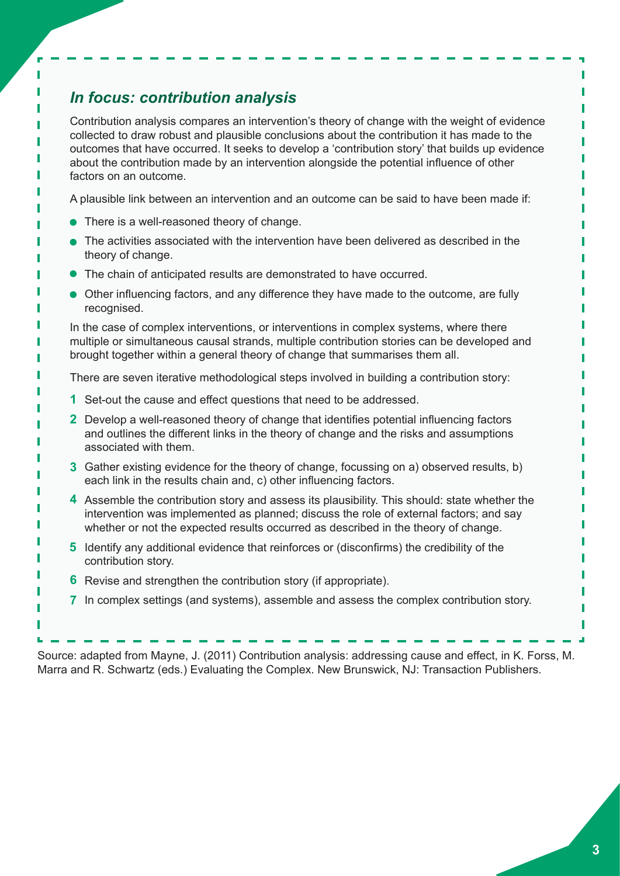# *In focus: contribution analysis*

Contribution analysis compares an intervention's theory of change with the weight of evidence collected to draw robust and plausible conclusions about the contribution it has made to the outcomes that have occurred. It seeks to develop a 'contribution story' that builds up evidence about the contribution made by an intervention alongside the potential influence of other factors on an outcome.

A plausible link between an intervention and an outcome can be said to have been made if:

- There is a well-reasoned theory of change.
- The activities associated with the intervention have been delivered as described in the theory of change.
- The chain of anticipated results are demonstrated to have occurred.
- Other influencing factors, and any difference they have made to the outcome, are fully recognised.

In the case of complex interventions, or interventions in complex systems, where there multiple or simultaneous causal strands, multiple contribution stories can be developed and brought together within a general theory of change that summarises them all.

There are seven iterative methodological steps involved in building a contribution story:

- Set-out the cause and effect questions that need to be addressed. **1**
- Develop a well-reasoned theory of change that identifies potential influencing factors **2** and outlines the different links in the theory of change and the risks and assumptions associated with them.
- Gather existing evidence for the theory of change, focussing on a) observed results, b) **3** each link in the results chain and, c) other influencing factors.
- 4 Assemble the contribution story and assess its plausibility. This should: state whether the intervention was implemented as planned; discuss the role of external factors; and say whether or not the expected results occurred as described in the theory of change.
- **5** Identify any additional evidence that reinforces or (disconfirms) the credibility of the contribution story.
- **6** Revise and strengthen the contribution story (if appropriate).
- In complex settings (and systems), assemble and assess the complex contribution story. **7**

Source: adapted from Mayne, J. (2011) Contribution analysis: addressing cause and effect, in K. Forss, M. Marra and R. Schwartz (eds.) Evaluating the Complex. New Brunswick, NJ: Transaction Publishers.